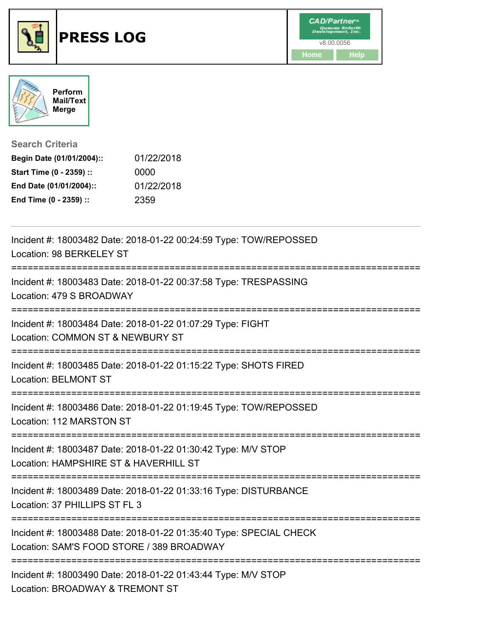



**Search Criteria**

| Begin Date (01/01/2004):: | 01/22/2018 |
|---------------------------|------------|
| Start Time (0 - 2359) ::  | 0000       |
| End Date (01/01/2004)::   | 01/22/2018 |
| End Time (0 - 2359) ::    | 2359       |

| Incident #: 18003482 Date: 2018-01-22 00:24:59 Type: TOW/REPOSSED<br>Location: 98 BERKELEY ST<br>---------------               |
|--------------------------------------------------------------------------------------------------------------------------------|
| Incident #: 18003483 Date: 2018-01-22 00:37:58 Type: TRESPASSING<br>Location: 479 S BROADWAY                                   |
| Incident #: 18003484 Date: 2018-01-22 01:07:29 Type: FIGHT<br>Location: COMMON ST & NEWBURY ST                                 |
| Incident #: 18003485 Date: 2018-01-22 01:15:22 Type: SHOTS FIRED<br><b>Location: BELMONT ST</b>                                |
| Incident #: 18003486 Date: 2018-01-22 01:19:45 Type: TOW/REPOSSED<br>Location: 112 MARSTON ST                                  |
| Incident #: 18003487 Date: 2018-01-22 01:30:42 Type: M/V STOP<br>Location: HAMPSHIRE ST & HAVERHILL ST<br>==================== |
| Incident #: 18003489 Date: 2018-01-22 01:33:16 Type: DISTURBANCE<br>Location: 37 PHILLIPS ST FL 3                              |
| Incident #: 18003488 Date: 2018-01-22 01:35:40 Type: SPECIAL CHECK<br>Location: SAM'S FOOD STORE / 389 BROADWAY                |
| Incident #: 18003490 Date: 2018-01-22 01:43:44 Type: M/V STOP<br>Location: BROADWAY & TREMONT ST                               |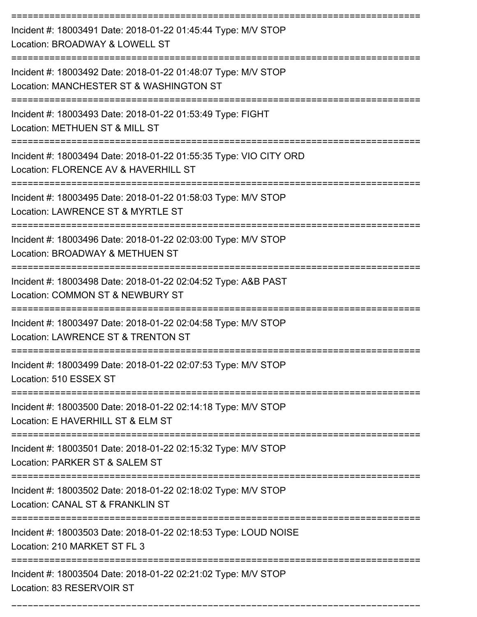| Incident #: 18003491 Date: 2018-01-22 01:45:44 Type: M/V STOP<br>Location: BROADWAY & LOWELL ST           |
|-----------------------------------------------------------------------------------------------------------|
| Incident #: 18003492 Date: 2018-01-22 01:48:07 Type: M/V STOP<br>Location: MANCHESTER ST & WASHINGTON ST  |
| Incident #: 18003493 Date: 2018-01-22 01:53:49 Type: FIGHT<br>Location: METHUEN ST & MILL ST              |
| Incident #: 18003494 Date: 2018-01-22 01:55:35 Type: VIO CITY ORD<br>Location: FLORENCE AV & HAVERHILL ST |
| Incident #: 18003495 Date: 2018-01-22 01:58:03 Type: M/V STOP<br>Location: LAWRENCE ST & MYRTLE ST        |
| Incident #: 18003496 Date: 2018-01-22 02:03:00 Type: M/V STOP<br>Location: BROADWAY & METHUEN ST          |
| Incident #: 18003498 Date: 2018-01-22 02:04:52 Type: A&B PAST<br>Location: COMMON ST & NEWBURY ST         |
| Incident #: 18003497 Date: 2018-01-22 02:04:58 Type: M/V STOP<br>Location: LAWRENCE ST & TRENTON ST       |
| Incident #: 18003499 Date: 2018-01-22 02:07:53 Type: M/V STOP<br>Location: 510 ESSEX ST                   |
| Incident #: 18003500 Date: 2018-01-22 02:14:18 Type: M/V STOP<br>Location: E HAVERHILL ST & ELM ST        |
| Incident #: 18003501 Date: 2018-01-22 02:15:32 Type: M/V STOP<br>Location: PARKER ST & SALEM ST           |
| Incident #: 18003502 Date: 2018-01-22 02:18:02 Type: M/V STOP<br>Location: CANAL ST & FRANKLIN ST         |
| Incident #: 18003503 Date: 2018-01-22 02:18:53 Type: LOUD NOISE<br>Location: 210 MARKET ST FL 3           |
| Incident #: 18003504 Date: 2018-01-22 02:21:02 Type: M/V STOP<br>Location: 83 RESERVOIR ST                |

===========================================================================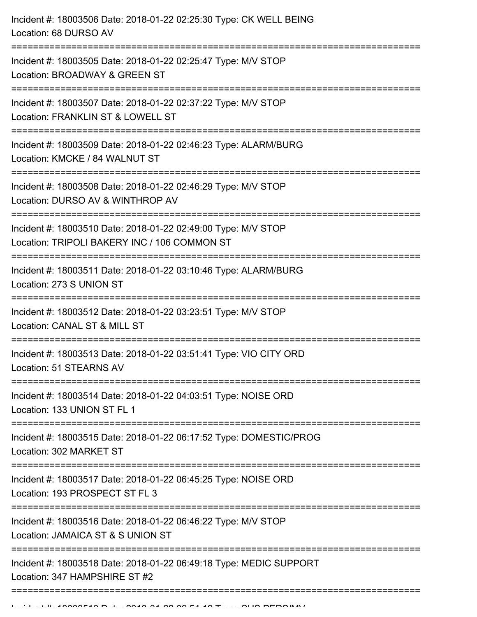| Incident #: 18003506 Date: 2018-01-22 02:25:30 Type: CK WELL BEING<br>Location: 68 DURSO AV                                                                                  |
|------------------------------------------------------------------------------------------------------------------------------------------------------------------------------|
| Incident #: 18003505 Date: 2018-01-22 02:25:47 Type: M/V STOP<br>Location: BROADWAY & GREEN ST                                                                               |
| Incident #: 18003507 Date: 2018-01-22 02:37:22 Type: M/V STOP<br>Location: FRANKLIN ST & LOWELL ST<br>:======================<br>------------                                |
| Incident #: 18003509 Date: 2018-01-22 02:46:23 Type: ALARM/BURG<br>Location: KMCKE / 84 WALNUT ST<br>==================================                                      |
| Incident #: 18003508 Date: 2018-01-22 02:46:29 Type: M/V STOP<br>Location: DURSO AV & WINTHROP AV                                                                            |
| Incident #: 18003510 Date: 2018-01-22 02:49:00 Type: M/V STOP<br>Location: TRIPOLI BAKERY INC / 106 COMMON ST<br>==============================<br>------------------------- |
| Incident #: 18003511 Date: 2018-01-22 03:10:46 Type: ALARM/BURG<br>Location: 273 S UNION ST                                                                                  |
| Incident #: 18003512 Date: 2018-01-22 03:23:51 Type: M/V STOP<br>Location: CANAL ST & MILL ST                                                                                |
| Incident #: 18003513 Date: 2018-01-22 03:51:41 Type: VIO CITY ORD<br>Location: 51 STEARNS AV                                                                                 |
| Incident #: 18003514 Date: 2018-01-22 04:03:51 Type: NOISE ORD<br>Location: 133 UNION ST FL 1                                                                                |
| Incident #: 18003515 Date: 2018-01-22 06:17:52 Type: DOMESTIC/PROG<br>Location: 302 MARKET ST                                                                                |
| Incident #: 18003517 Date: 2018-01-22 06:45:25 Type: NOISE ORD<br>Location: 193 PROSPECT ST FL 3                                                                             |
| Incident #: 18003516 Date: 2018-01-22 06:46:22 Type: M/V STOP<br>Location: JAMAICA ST & S UNION ST                                                                           |
| Incident #: 18003518 Date: 2018-01-22 06:49:18 Type: MEDIC SUPPORT<br>Location: 347 HAMPSHIRE ST #2                                                                          |
|                                                                                                                                                                              |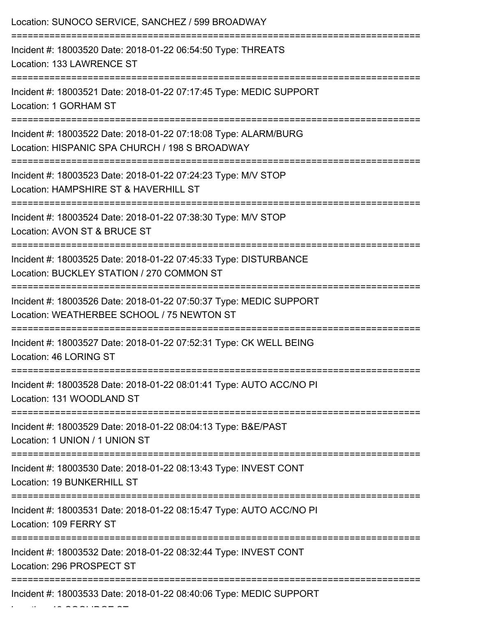| Location: SUNOCO SERVICE, SANCHEZ / 599 BROADWAY                                                                  |
|-------------------------------------------------------------------------------------------------------------------|
| Incident #: 18003520 Date: 2018-01-22 06:54:50 Type: THREATS<br>Location: 133 LAWRENCE ST                         |
| Incident #: 18003521 Date: 2018-01-22 07:17:45 Type: MEDIC SUPPORT<br>Location: 1 GORHAM ST                       |
| Incident #: 18003522 Date: 2018-01-22 07:18:08 Type: ALARM/BURG<br>Location: HISPANIC SPA CHURCH / 198 S BROADWAY |
| Incident #: 18003523 Date: 2018-01-22 07:24:23 Type: M/V STOP<br>Location: HAMPSHIRE ST & HAVERHILL ST            |
| Incident #: 18003524 Date: 2018-01-22 07:38:30 Type: M/V STOP<br>Location: AVON ST & BRUCE ST                     |
| Incident #: 18003525 Date: 2018-01-22 07:45:33 Type: DISTURBANCE<br>Location: BUCKLEY STATION / 270 COMMON ST     |
| Incident #: 18003526 Date: 2018-01-22 07:50:37 Type: MEDIC SUPPORT<br>Location: WEATHERBEE SCHOOL / 75 NEWTON ST  |
| Incident #: 18003527 Date: 2018-01-22 07:52:31 Type: CK WELL BEING<br>Location: 46 LORING ST                      |
| Incident #: 18003528 Date: 2018-01-22 08:01:41 Type: AUTO ACC/NO PI<br>Location: 131 WOODLAND ST                  |
| Incident #: 18003529 Date: 2018-01-22 08:04:13 Type: B&E/PAST<br>Location: 1 UNION / 1 UNION ST                   |
| Incident #: 18003530 Date: 2018-01-22 08:13:43 Type: INVEST CONT<br>Location: 19 BUNKERHILL ST                    |
| Incident #: 18003531 Date: 2018-01-22 08:15:47 Type: AUTO ACC/NO PI<br>Location: 109 FERRY ST                     |
| Incident #: 18003532 Date: 2018-01-22 08:32:44 Type: INVEST CONT<br>Location: 296 PROSPECT ST                     |
| Incident #: 18003533 Date: 2018-01-22 08:40:06 Type: MEDIC SUPPORT                                                |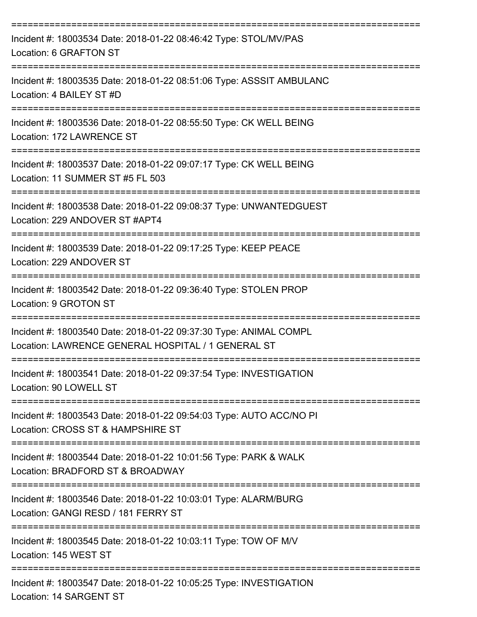| Incident #: 18003534 Date: 2018-01-22 08:46:42 Type: STOL/MV/PAS<br>Location: 6 GRAFTON ST                                    |
|-------------------------------------------------------------------------------------------------------------------------------|
| Incident #: 18003535 Date: 2018-01-22 08:51:06 Type: ASSSIT AMBULANC<br>Location: 4 BAILEY ST #D                              |
| Incident #: 18003536 Date: 2018-01-22 08:55:50 Type: CK WELL BEING<br>Location: 172 LAWRENCE ST                               |
| Incident #: 18003537 Date: 2018-01-22 09:07:17 Type: CK WELL BEING<br>Location: 11 SUMMER ST #5 FL 503                        |
| Incident #: 18003538 Date: 2018-01-22 09:08:37 Type: UNWANTEDGUEST<br>Location: 229 ANDOVER ST #APT4                          |
| Incident #: 18003539 Date: 2018-01-22 09:17:25 Type: KEEP PEACE<br>Location: 229 ANDOVER ST                                   |
| Incident #: 18003542 Date: 2018-01-22 09:36:40 Type: STOLEN PROP<br>Location: 9 GROTON ST                                     |
| Incident #: 18003540 Date: 2018-01-22 09:37:30 Type: ANIMAL COMPL<br>Location: LAWRENCE GENERAL HOSPITAL / 1 GENERAL ST       |
| Incident #: 18003541 Date: 2018-01-22 09:37:54 Type: INVESTIGATION<br>Location: 90 LOWELL ST                                  |
| Incident #: 18003543 Date: 2018-01-22 09:54:03 Type: AUTO ACC/NO PI<br>Location: CROSS ST & HAMPSHIRE ST                      |
| Incident #: 18003544 Date: 2018-01-22 10:01:56 Type: PARK & WALK<br>Location: BRADFORD ST & BROADWAY                          |
| ===================<br>Incident #: 18003546 Date: 2018-01-22 10:03:01 Type: ALARM/BURG<br>Location: GANGI RESD / 181 FERRY ST |
| Incident #: 18003545 Date: 2018-01-22 10:03:11 Type: TOW OF M/V<br>Location: 145 WEST ST                                      |
| Incident #: 18003547 Date: 2018-01-22 10:05:25 Type: INVESTIGATION                                                            |

Location: 14 SARGENT ST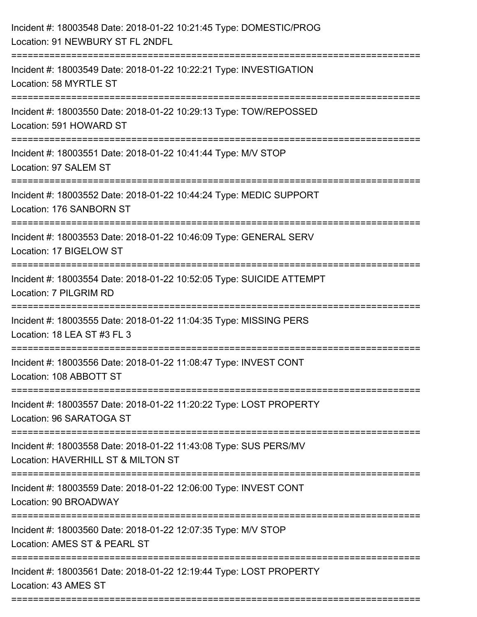| Incident #: 18003548 Date: 2018-01-22 10:21:45 Type: DOMESTIC/PROG<br>Location: 91 NEWBURY ST FL 2NDFL                      |
|-----------------------------------------------------------------------------------------------------------------------------|
| Incident #: 18003549 Date: 2018-01-22 10:22:21 Type: INVESTIGATION<br>Location: 58 MYRTLE ST                                |
| Incident #: 18003550 Date: 2018-01-22 10:29:13 Type: TOW/REPOSSED<br>Location: 591 HOWARD ST                                |
| Incident #: 18003551 Date: 2018-01-22 10:41:44 Type: M/V STOP<br>Location: 97 SALEM ST                                      |
| Incident #: 18003552 Date: 2018-01-22 10:44:24 Type: MEDIC SUPPORT<br>Location: 176 SANBORN ST<br>------------------------- |
| Incident #: 18003553 Date: 2018-01-22 10:46:09 Type: GENERAL SERV<br>Location: 17 BIGELOW ST                                |
| Incident #: 18003554 Date: 2018-01-22 10:52:05 Type: SUICIDE ATTEMPT<br>Location: 7 PILGRIM RD                              |
| Incident #: 18003555 Date: 2018-01-22 11:04:35 Type: MISSING PERS<br>Location: 18 LEA ST #3 FL 3                            |
| Incident #: 18003556 Date: 2018-01-22 11:08:47 Type: INVEST CONT<br>Location: 108 ABBOTT ST                                 |
| Incident #: 18003557 Date: 2018-01-22 11:20:22 Type: LOST PROPERTY<br>Location: 96 SARATOGA ST                              |
| Incident #: 18003558 Date: 2018-01-22 11:43:08 Type: SUS PERS/MV<br>Location: HAVERHILL ST & MILTON ST                      |
| Incident #: 18003559 Date: 2018-01-22 12:06:00 Type: INVEST CONT<br>Location: 90 BROADWAY                                   |
| Incident #: 18003560 Date: 2018-01-22 12:07:35 Type: M/V STOP<br>Location: AMES ST & PEARL ST                               |
| Incident #: 18003561 Date: 2018-01-22 12:19:44 Type: LOST PROPERTY<br>Location: 43 AMES ST                                  |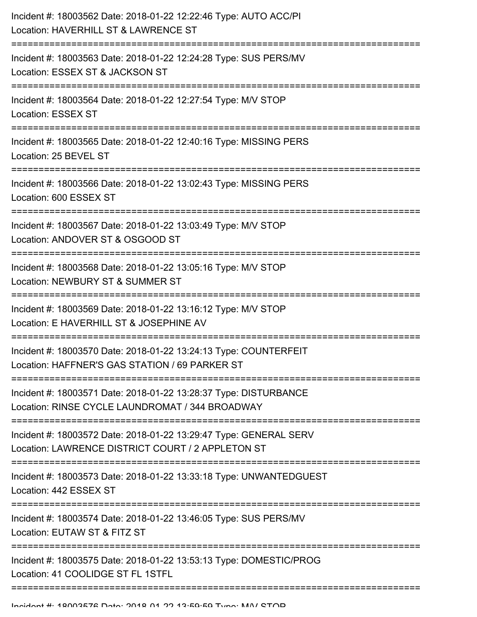| Incident #: 18003562 Date: 2018-01-22 12:22:46 Type: AUTO ACC/PI<br>Location: HAVERHILL ST & LAWRENCE ST                    |
|-----------------------------------------------------------------------------------------------------------------------------|
| Incident #: 18003563 Date: 2018-01-22 12:24:28 Type: SUS PERS/MV<br>Location: ESSEX ST & JACKSON ST                         |
| Incident #: 18003564 Date: 2018-01-22 12:27:54 Type: M/V STOP<br><b>Location: ESSEX ST</b>                                  |
| Incident #: 18003565 Date: 2018-01-22 12:40:16 Type: MISSING PERS<br>Location: 25 BEVEL ST                                  |
| Incident #: 18003566 Date: 2018-01-22 13:02:43 Type: MISSING PERS<br>Location: 600 ESSEX ST                                 |
| Incident #: 18003567 Date: 2018-01-22 13:03:49 Type: M/V STOP<br>Location: ANDOVER ST & OSGOOD ST                           |
| Incident #: 18003568 Date: 2018-01-22 13:05:16 Type: M/V STOP<br>Location: NEWBURY ST & SUMMER ST<br>:===================== |
| Incident #: 18003569 Date: 2018-01-22 13:16:12 Type: M/V STOP<br>Location: E HAVERHILL ST & JOSEPHINE AV                    |
| Incident #: 18003570 Date: 2018-01-22 13:24:13 Type: COUNTERFEIT<br>Location: HAFFNER'S GAS STATION / 69 PARKER ST          |
| Incident #: 18003571 Date: 2018-01-22 13:28:37 Type: DISTURBANCE<br>Location: RINSE CYCLE LAUNDROMAT / 344 BROADWAY         |
| Incident #: 18003572 Date: 2018-01-22 13:29:47 Type: GENERAL SERV<br>Location: LAWRENCE DISTRICT COURT / 2 APPLETON ST      |
| Incident #: 18003573 Date: 2018-01-22 13:33:18 Type: UNWANTEDGUEST<br>Location: 442 ESSEX ST                                |
| Incident #: 18003574 Date: 2018-01-22 13:46:05 Type: SUS PERS/MV<br>Location: EUTAW ST & FITZ ST                            |
| Incident #: 18003575 Date: 2018-01-22 13:53:13 Type: DOMESTIC/PROG<br>Location: 41 COOLIDGE ST FL 1STFL                     |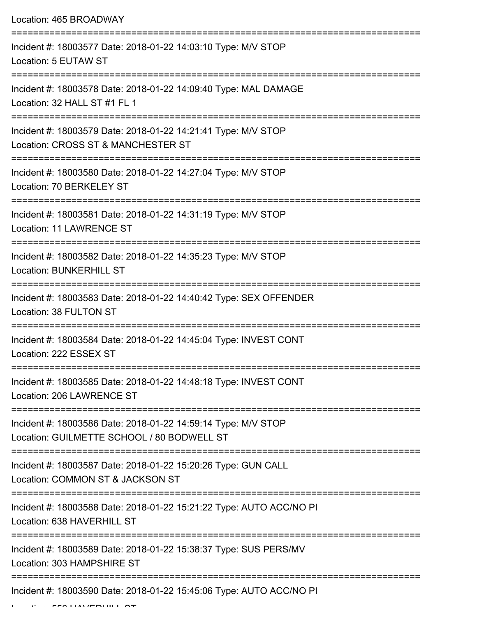Location: 465 BROADWAY

| Incident #: 18003577 Date: 2018-01-22 14:03:10 Type: M/V STOP<br>Location: 5 EUTAW ST                                                |
|--------------------------------------------------------------------------------------------------------------------------------------|
| Incident #: 18003578 Date: 2018-01-22 14:09:40 Type: MAL DAMAGE<br>Location: 32 HALL ST #1 FL 1                                      |
| Incident #: 18003579 Date: 2018-01-22 14:21:41 Type: M/V STOP<br>Location: CROSS ST & MANCHESTER ST                                  |
| Incident #: 18003580 Date: 2018-01-22 14:27:04 Type: M/V STOP<br>Location: 70 BERKELEY ST                                            |
| Incident #: 18003581 Date: 2018-01-22 14:31:19 Type: M/V STOP<br><b>Location: 11 LAWRENCE ST</b>                                     |
| Incident #: 18003582 Date: 2018-01-22 14:35:23 Type: M/V STOP<br><b>Location: BUNKERHILL ST</b>                                      |
| Incident #: 18003583 Date: 2018-01-22 14:40:42 Type: SEX OFFENDER<br>Location: 38 FULTON ST                                          |
| Incident #: 18003584 Date: 2018-01-22 14:45:04 Type: INVEST CONT<br>Location: 222 ESSEX ST                                           |
| Incident #: 18003585 Date: 2018-01-22 14:48:18 Type: INVEST CONT<br>Location: 206 LAWRENCE ST                                        |
| Incident #: 18003586 Date: 2018-01-22 14:59:14 Type: M/V STOP<br>Location: GUILMETTE SCHOOL / 80 BODWELL ST                          |
| Incident #: 18003587 Date: 2018-01-22 15:20:26 Type: GUN CALL<br>Location: COMMON ST & JACKSON ST                                    |
| ===============================<br>Incident #: 18003588 Date: 2018-01-22 15:21:22 Type: AUTO ACC/NO PI<br>Location: 638 HAVERHILL ST |
| Incident #: 18003589 Date: 2018-01-22 15:38:37 Type: SUS PERS/MV<br>Location: 303 HAMPSHIRE ST                                       |
| Incident #: 18003590 Date: 2018-01-22 15:45:06 Type: AUTO ACC/NO PI                                                                  |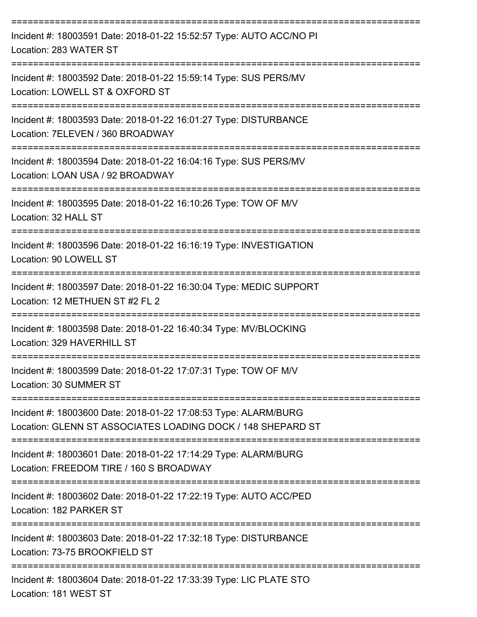| Incident #: 18003591 Date: 2018-01-22 15:52:57 Type: AUTO ACC/NO PI<br>Location: 283 WATER ST                                                                                                         |
|-------------------------------------------------------------------------------------------------------------------------------------------------------------------------------------------------------|
| Incident #: 18003592 Date: 2018-01-22 15:59:14 Type: SUS PERS/MV<br>Location: LOWELL ST & OXFORD ST                                                                                                   |
| Incident #: 18003593 Date: 2018-01-22 16:01:27 Type: DISTURBANCE<br>Location: 7ELEVEN / 360 BROADWAY                                                                                                  |
| Incident #: 18003594 Date: 2018-01-22 16:04:16 Type: SUS PERS/MV<br>Location: LOAN USA / 92 BROADWAY                                                                                                  |
| Incident #: 18003595 Date: 2018-01-22 16:10:26 Type: TOW OF M/V<br>Location: 32 HALL ST                                                                                                               |
| Incident #: 18003596 Date: 2018-01-22 16:16:19 Type: INVESTIGATION<br>Location: 90 LOWELL ST                                                                                                          |
| Incident #: 18003597 Date: 2018-01-22 16:30:04 Type: MEDIC SUPPORT<br>Location: 12 METHUEN ST #2 FL 2                                                                                                 |
| Incident #: 18003598 Date: 2018-01-22 16:40:34 Type: MV/BLOCKING<br>Location: 329 HAVERHILL ST                                                                                                        |
| Incident #: 18003599 Date: 2018-01-22 17:07:31 Type: TOW OF M/V<br>Location: 30 SUMMER ST                                                                                                             |
| ======================================<br>-------------------------<br>Incident #: 18003600 Date: 2018-01-22 17:08:53 Type: ALARM/BURG<br>Location: GLENN ST ASSOCIATES LOADING DOCK / 148 SHEPARD ST |
| Incident #: 18003601 Date: 2018-01-22 17:14:29 Type: ALARM/BURG<br>Location: FREEDOM TIRE / 160 S BROADWAY                                                                                            |
| ==================================<br>Incident #: 18003602 Date: 2018-01-22 17:22:19 Type: AUTO ACC/PED<br>Location: 182 PARKER ST                                                                    |
| Incident #: 18003603 Date: 2018-01-22 17:32:18 Type: DISTURBANCE<br>Location: 73-75 BROOKFIELD ST                                                                                                     |
| Incident #: 18003604 Date: 2018-01-22 17:33:39 Type: LIC PLATE STO<br>Location: 181 WEST ST                                                                                                           |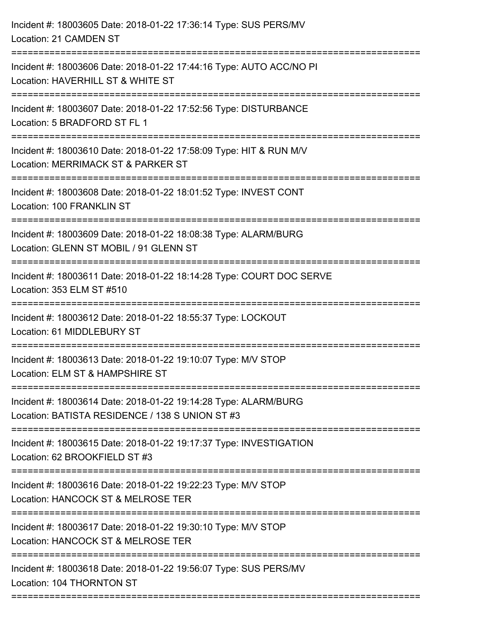| Incident #: 18003605 Date: 2018-01-22 17:36:14 Type: SUS PERS/MV<br>Location: 21 CAMDEN ST                                           |
|--------------------------------------------------------------------------------------------------------------------------------------|
| ------------------------<br>Incident #: 18003606 Date: 2018-01-22 17:44:16 Type: AUTO ACC/NO PI<br>Location: HAVERHILL ST & WHITE ST |
| Incident #: 18003607 Date: 2018-01-22 17:52:56 Type: DISTURBANCE<br>Location: 5 BRADFORD ST FL 1                                     |
| Incident #: 18003610 Date: 2018-01-22 17:58:09 Type: HIT & RUN M/V<br>Location: MERRIMACK ST & PARKER ST                             |
| Incident #: 18003608 Date: 2018-01-22 18:01:52 Type: INVEST CONT<br>Location: 100 FRANKLIN ST                                        |
| Incident #: 18003609 Date: 2018-01-22 18:08:38 Type: ALARM/BURG<br>Location: GLENN ST MOBIL / 91 GLENN ST                            |
| Incident #: 18003611 Date: 2018-01-22 18:14:28 Type: COURT DOC SERVE<br>Location: 353 ELM ST #510                                    |
| Incident #: 18003612 Date: 2018-01-22 18:55:37 Type: LOCKOUT<br>Location: 61 MIDDLEBURY ST                                           |
| Incident #: 18003613 Date: 2018-01-22 19:10:07 Type: M/V STOP<br>Location: ELM ST & HAMPSHIRE ST                                     |
| Incident #: 18003614 Date: 2018-01-22 19:14:28 Type: ALARM/BURG<br>Location: BATISTA RESIDENCE / 138 S UNION ST #3                   |
| Incident #: 18003615 Date: 2018-01-22 19:17:37 Type: INVESTIGATION<br>Location: 62 BROOKFIELD ST #3                                  |
| Incident #: 18003616 Date: 2018-01-22 19:22:23 Type: M/V STOP<br>Location: HANCOCK ST & MELROSE TER                                  |
| Incident #: 18003617 Date: 2018-01-22 19:30:10 Type: M/V STOP<br>Location: HANCOCK ST & MELROSE TER                                  |
| Incident #: 18003618 Date: 2018-01-22 19:56:07 Type: SUS PERS/MV<br>Location: 104 THORNTON ST                                        |
|                                                                                                                                      |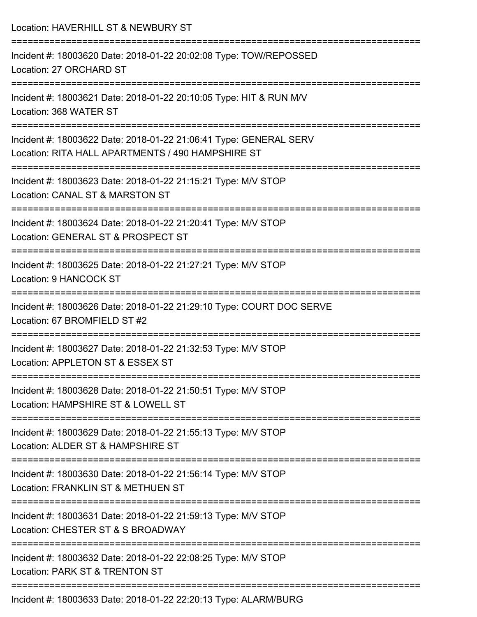| Location: HAVERHILL ST & NEWBURY ST                                                                                                                    |
|--------------------------------------------------------------------------------------------------------------------------------------------------------|
| Incident #: 18003620 Date: 2018-01-22 20:02:08 Type: TOW/REPOSSED<br>Location: 27 ORCHARD ST                                                           |
| Incident #: 18003621 Date: 2018-01-22 20:10:05 Type: HIT & RUN M/V<br>Location: 368 WATER ST                                                           |
| Incident #: 18003622 Date: 2018-01-22 21:06:41 Type: GENERAL SERV<br>Location: RITA HALL APARTMENTS / 490 HAMPSHIRE ST<br>:=========================== |
| Incident #: 18003623 Date: 2018-01-22 21:15:21 Type: M/V STOP<br>Location: CANAL ST & MARSTON ST                                                       |
| Incident #: 18003624 Date: 2018-01-22 21:20:41 Type: M/V STOP<br>Location: GENERAL ST & PROSPECT ST                                                    |
| Incident #: 18003625 Date: 2018-01-22 21:27:21 Type: M/V STOP<br>Location: 9 HANCOCK ST<br>=======================                                     |
| Incident #: 18003626 Date: 2018-01-22 21:29:10 Type: COURT DOC SERVE<br>Location: 67 BROMFIELD ST #2                                                   |
| Incident #: 18003627 Date: 2018-01-22 21:32:53 Type: M/V STOP<br>Location: APPLETON ST & ESSEX ST                                                      |
| Incident #: 18003628 Date: 2018-01-22 21:50:51 Type: M/V STOP<br>Location: HAMPSHIRE ST & LOWELL ST                                                    |
| Incident #: 18003629 Date: 2018-01-22 21:55:13 Type: M/V STOP<br>Location: ALDER ST & HAMPSHIRE ST                                                     |
| Incident #: 18003630 Date: 2018-01-22 21:56:14 Type: M/V STOP<br>Location: FRANKLIN ST & METHUEN ST                                                    |
| Incident #: 18003631 Date: 2018-01-22 21:59:13 Type: M/V STOP<br>Location: CHESTER ST & S BROADWAY                                                     |
| Incident #: 18003632 Date: 2018-01-22 22:08:25 Type: M/V STOP<br>Location: PARK ST & TRENTON ST                                                        |
| Incident #: 18003633 Date: 2018-01-22 22:20:13 Type: ALARM/BURG                                                                                        |